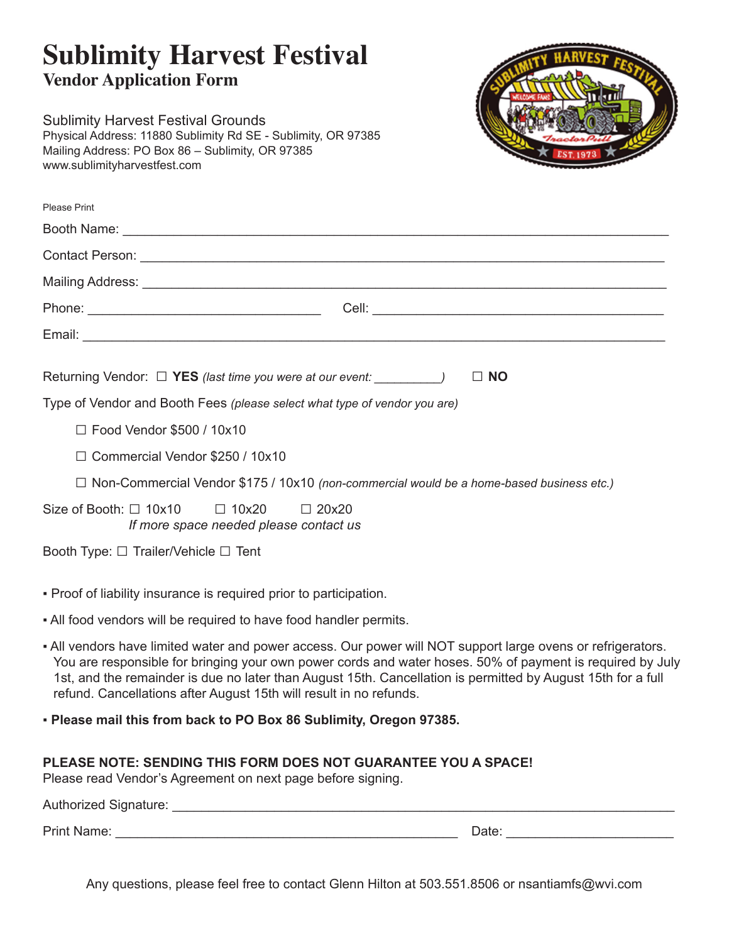# **Sublimity Harvest Festival Vendor Application Form**

Sublimity Harvest Festival Grounds Physical Address: 11880 Sublimity Rd SE - Sublimity, OR 97385 Mailing Address: PO Box 86 – Sublimity, OR 97385 www.sublimityharvestfest.com



| Please Print                                                                     |                                                                                                 |
|----------------------------------------------------------------------------------|-------------------------------------------------------------------------------------------------|
|                                                                                  |                                                                                                 |
|                                                                                  |                                                                                                 |
|                                                                                  |                                                                                                 |
|                                                                                  |                                                                                                 |
|                                                                                  |                                                                                                 |
| Returning Vendor: □ YES (last time you were at our event: ______________________ | $\Box$ NO                                                                                       |
|                                                                                  | Type of Vendor and Booth Fees (please select what type of vendor you are)                       |
| $\Box$ Food Vendor \$500 / 10x10                                                 |                                                                                                 |
| $\Box$ Commercial Vendor \$250 / 10x10                                           |                                                                                                 |
|                                                                                  | $\Box$ Non-Commercial Vendor \$175 / 10x10 (non-commercial would be a home-based business etc.) |
| Size of Booth: $\Box$ 10x10 $\Box$ 10x20                                         | $\square$ 20x20                                                                                 |

*If more space needed please contact us*

Booth Type: □ Trailer/Vehicle □ Tent

- Proof of liability insurance is required prior to participation.
- All food vendors will be required to have food handler permits.
- All vendors have limited water and power access. Our power will NOT support large ovens or refrigerators. You are responsible for bringing your own power cords and water hoses. 50% of payment is required by July 1st, and the remainder is due no later than August 15th. Cancellation is permitted by August 15th for a full refund. Cancellations after August 15th will result in no refunds.
- **Please mail this from back to PO Box 86 Sublimity, Oregon 97385.**

### **PLEASE NOTE: SENDING THIS FORM DOES NOT GUARANTEE YOU A SPACE!**

Please read Vendor's Agreement on next page before signing.

| Authorized Signature: |                   |  |
|-----------------------|-------------------|--|
| <b>Print Name:</b>    | Date <sup>.</sup> |  |

Any questions, please feel free to contact Glenn Hilton at 503.551.8506 or nsantiamfs@wvi.com